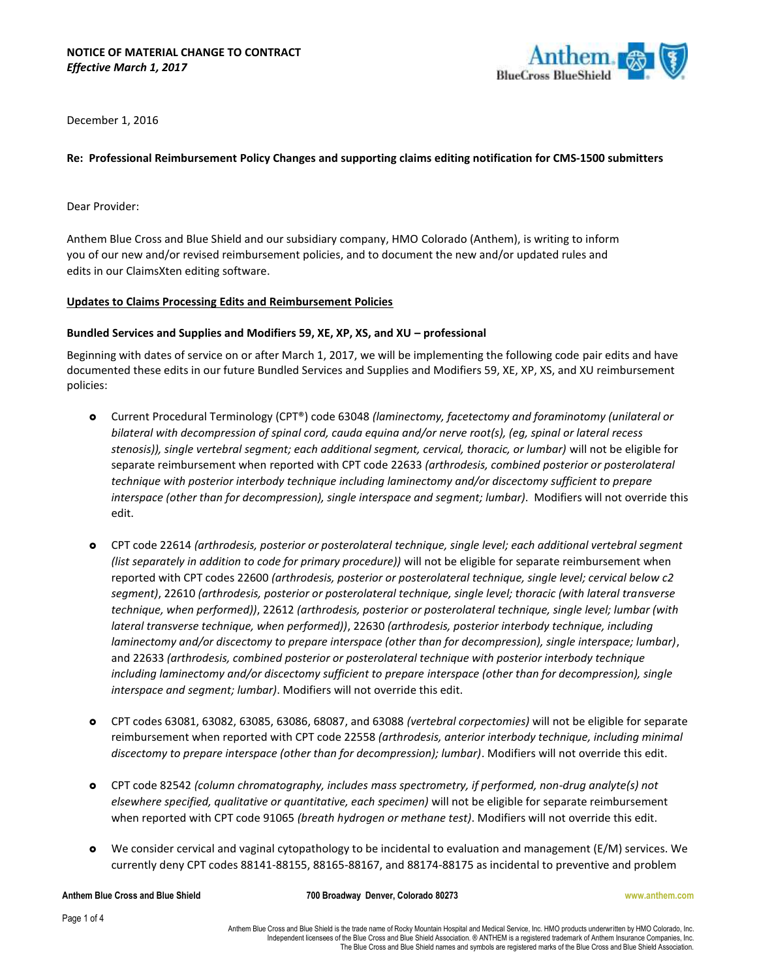

December 1, 2016

## **Re: Professional Reimbursement Policy Changes and supporting claims editing notification for CMS-1500 submitters**

Dear Provider:

Anthem Blue Cross and Blue Shield and our subsidiary company, HMO Colorado (Anthem), is writing to inform you of our new and/or revised reimbursement policies, and to document the new and/or updated rules and edits in our ClaimsXten editing software.

## **Updates to Claims Processing Edits and Reimbursement Policies**

# **Bundled Services and Supplies and Modifiers 59, XE, XP, XS, and XU – professional**

Beginning with dates of service on or after March 1, 2017, we will be implementing the following code pair edits and have documented these edits in our future Bundled Services and Supplies and Modifiers 59, XE, XP, XS, and XU reimbursement policies:

- Current Procedural Terminology (CPT®) code 63048 *(laminectomy, facetectomy and foraminotomy (unilateral or bilateral with decompression of spinal cord, cauda equina and/or nerve root(s), (eg, spinal or lateral recess stenosis)), single vertebral segment; each additional segment, cervical, thoracic, or lumbar)* will not be eligible for separate reimbursement when reported with CPT code 22633 *(arthrodesis, combined posterior or posterolateral technique with posterior interbody technique including laminectomy and/or discectomy sufficient to prepare interspace (other than for decompression), single interspace and segment; lumbar)*. Modifiers will not override this edit.
- CPT code 22614 *(arthrodesis, posterior or posterolateral technique, single level; each additional vertebral segment (list separately in addition to code for primary procedure))* will not be eligible for separate reimbursement when reported with CPT codes 22600 *(arthrodesis, posterior or posterolateral technique, single level; cervical below c2 segment)*, 22610 *(arthrodesis, posterior or posterolateral technique, single level; thoracic (with lateral transverse technique, when performed))*, 22612 *(arthrodesis, posterior or posterolateral technique, single level; lumbar (with lateral transverse technique, when performed))*, 22630 *(arthrodesis, posterior interbody technique, including laminectomy and/or discectomy to prepare interspace (other than for decompression), single interspace; lumbar)*, and 22633 *(arthrodesis, combined posterior or posterolateral technique with posterior interbody technique including laminectomy and/or discectomy sufficient to prepare interspace (other than for decompression), single interspace and segment; lumbar)*. Modifiers will not override this edit.
- CPT codes 63081, 63082, 63085, 63086, 68087, and 63088 *(vertebral corpectomies)* will not be eligible for separate reimbursement when reported with CPT code 22558 *(arthrodesis, anterior interbody technique, including minimal discectomy to prepare interspace (other than for decompression); lumbar)*. Modifiers will not override this edit.
- CPT code 82542 *(column chromatography, includes mass spectrometry, if performed, non-drug analyte(s) not elsewhere specified, qualitative or quantitative, each specimen)* will not be eligible for separate reimbursement when reported with CPT code 91065 *(breath hydrogen or methane test)*. Modifiers will not override this edit.
- We consider cervical and vaginal cytopathology to be incidental to evaluation and management (E/M) services. We currently deny CPT codes 88141-88155, 88165-88167, and 88174-88175 as incidental to preventive and problem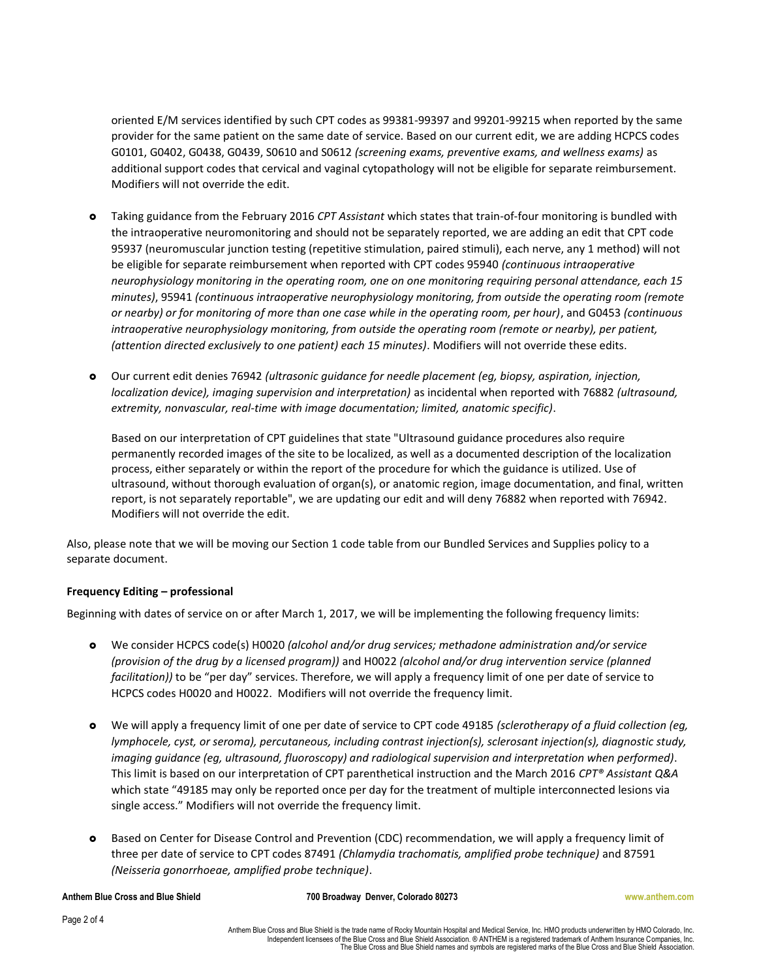oriented E/M services identified by such CPT codes as 99381-99397 and 99201-99215 when reported by the same provider for the same patient on the same date of service. Based on our current edit, we are adding HCPCS codes G0101, G0402, G0438, G0439, S0610 and S0612 *(screening exams, preventive exams, and wellness exams)* as additional support codes that cervical and vaginal cytopathology will not be eligible for separate reimbursement. Modifiers will not override the edit.

- Taking guidance from the February 2016 *CPT Assistant* which states that train-of-four monitoring is bundled with the intraoperative neuromonitoring and should not be separately reported, we are adding an edit that CPT code 95937 (neuromuscular junction testing (repetitive stimulation, paired stimuli), each nerve, any 1 method) will not be eligible for separate reimbursement when reported with CPT codes 95940 *(continuous intraoperative neurophysiology monitoring in the operating room, one on one monitoring requiring personal attendance, each 15 minutes)*, 95941 *(continuous intraoperative neurophysiology monitoring, from outside the operating room (remote or nearby) or for monitoring of more than one case while in the operating room, per hour)*, and G0453 *(continuous intraoperative neurophysiology monitoring, from outside the operating room (remote or nearby), per patient, (attention directed exclusively to one patient) each 15 minutes)*. Modifiers will not override these edits.
- Our current edit denies 76942 *(ultrasonic guidance for needle placement (eg, biopsy, aspiration, injection, localization device), imaging supervision and interpretation)* as incidental when reported with 76882 *(ultrasound, extremity, nonvascular, real-time with image documentation; limited, anatomic specific)*.

Based on our interpretation of CPT guidelines that state "Ultrasound guidance procedures also require permanently recorded images of the site to be localized, as well as a documented description of the localization process, either separately or within the report of the procedure for which the guidance is utilized. Use of ultrasound, without thorough evaluation of organ(s), or anatomic region, image documentation, and final, written report, is not separately reportable", we are updating our edit and will deny 76882 when reported with 76942. Modifiers will not override the edit.

Also, please note that we will be moving our Section 1 code table from our Bundled Services and Supplies policy to a separate document.

# **Frequency Editing – professional**

Beginning with dates of service on or after March 1, 2017, we will be implementing the following frequency limits:

- We consider HCPCS code(s) H0020 *(alcohol and/or drug services; methadone administration and/or service (provision of the drug by a licensed program))* and H0022 *(alcohol and/or drug intervention service (planned facilitation))* to be "per day" services. Therefore, we will apply a frequency limit of one per date of service to HCPCS codes H0020 and H0022. Modifiers will not override the frequency limit.
- We will apply a frequency limit of one per date of service to CPT code 49185 *(sclerotherapy of a fluid collection (eg, lymphocele, cyst, or seroma), percutaneous, including contrast injection(s), sclerosant injection(s), diagnostic study, imaging guidance (eg, ultrasound, fluoroscopy) and radiological supervision and interpretation when performed)*. This limit is based on our interpretation of CPT parenthetical instruction and the March 2016 *CPT® Assistant Q&A* which state "49185 may only be reported once per day for the treatment of multiple interconnected lesions via single access." Modifiers will not override the frequency limit.
- **o** Based on Center for Disease Control and Prevention (CDC) recommendation, we will apply a frequency limit of three per date of service to CPT codes 87491 *(Chlamydia trachomatis, amplified probe technique)* and 87591 *(Neisseria gonorrhoeae, amplified probe technique)*.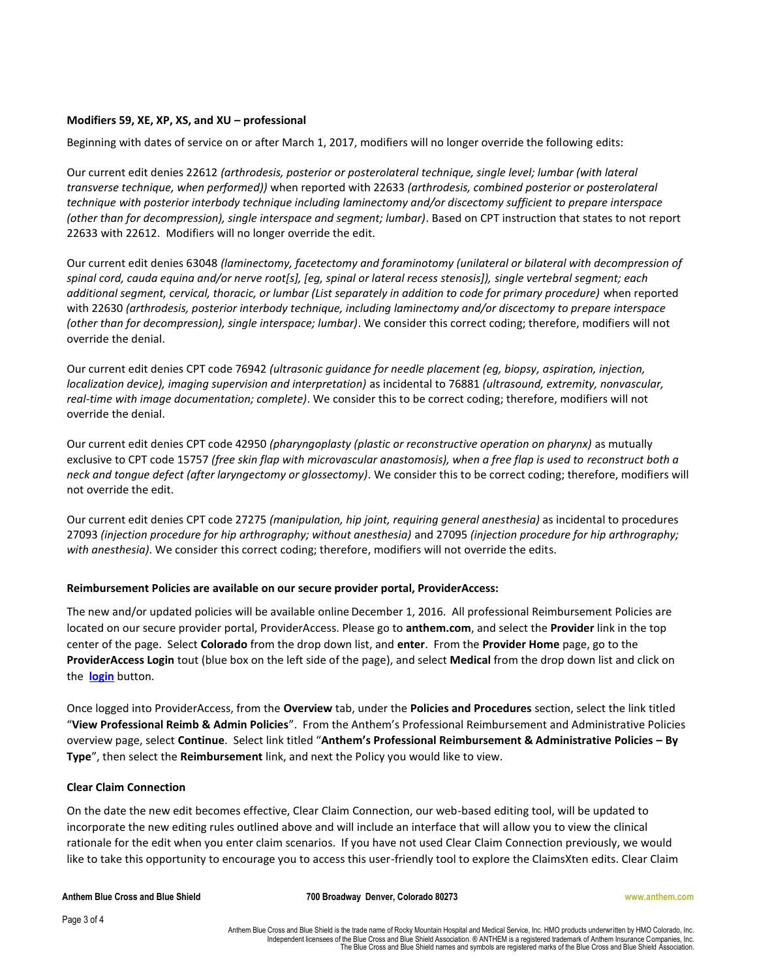# **Modifiers 59, XE, XP, XS, and XU – professional**

Beginning with dates of service on or after March 1, 2017, modifiers will no longer override the following edits:

Our current edit denies 22612 *(arthrodesis, posterior or posterolateral technique, single level; lumbar (with lateral transverse technique, when performed))* when reported with 22633 *(arthrodesis, combined posterior or posterolateral technique with posterior interbody technique including laminectomy and/or discectomy sufficient to prepare interspace (other than for decompression), single interspace and segment; lumbar)*. Based on CPT instruction that states to not report 22633 with 22612. Modifiers will no longer override the edit.

Our current edit denies 63048 *(laminectomy, facetectomy and foraminotomy (unilateral or bilateral with decompression of spinal cord, cauda equina and/or nerve root[s], [eg, spinal or lateral recess stenosis]), single vertebral segment; each additional segment, cervical, thoracic, or lumbar (List separately in addition to code for primary procedure)* when reported with 22630 *(arthrodesis, posterior interbody technique, including laminectomy and/or discectomy to prepare interspace (other than for decompression), single interspace; lumbar)*. We consider this correct coding; therefore, modifiers will not override the denial.

Our current edit denies CPT code 76942 *(ultrasonic guidance for needle placement (eg, biopsy, aspiration, injection, localization device), imaging supervision and interpretation)* as incidental to 76881 *(ultrasound, extremity, nonvascular, real-time with image documentation; complete)*. We consider this to be correct coding; therefore, modifiers will not override the denial.

Our current edit denies CPT code 42950 *(pharyngoplasty (plastic or reconstructive operation on pharynx)* as mutually exclusive to CPT code 15757 *(free skin flap with microvascular anastomosis), when a free flap is used to reconstruct both a neck and tongue defect (after laryngectomy or glossectomy)*. We consider this to be correct coding; therefore, modifiers will not override the edit.

Our current edit denies CPT code 27275 *(manipulation, hip joint, requiring general anesthesia)* as incidental to procedures 27093 *(injection procedure for hip arthrography; without anesthesia)* and 27095 *(injection procedure for hip arthrography; with anesthesia)*. We consider this correct coding; therefore, modifiers will not override the edits.

# **Reimbursement Policies are available on our secure provider portal, ProviderAccess:**

The new and/or updated policies will be available online December 1, 2016. All professional Reimbursement Policies are located on our secure provider portal, ProviderAccess. Please go to **anthem.com**, and select the **Provider** link in the top center of the page. Select **Colorado** from the drop down list, and **enter**. From the **Provider Home** page, go to the **ProviderAccess Login** tout (blue box on the left side of the page), and select **Medical** from the drop down list and click on the **login** button.

Once logged into ProviderAccess, from the **Overview** tab, under the **Policies and Procedures** section, select the link titled "**View Professional Reimb & Admin Policies**". From the Anthem's Professional Reimbursement and Administrative Policies overview page, select **Continue**. Select link titled "**Anthem's Professional Reimbursement & Administrative Policies – By Type**", then select the **Reimbursement** link, and next the Policy you would like to view.

## **Clear Claim Connection**

On the date the new edit becomes effective, Clear Claim Connection, our web-based editing tool, will be updated to incorporate the new editing rules outlined above and will include an interface that will allow you to view the clinical rationale for the edit when you enter claim scenarios. If you have not used Clear Claim Connection previously, we would like to take this opportunity to encourage you to access this user-friendly tool to explore the ClaimsXten edits. Clear Claim

Anthem Blue Cross and Blue Shield is the trade name of Rocky Mountain Hospital and Medical Service, Inc. HMO products underwritten by HMO Colorado, Inc. Independent licensees of the Blue Cross and Blue Shield Association. ® ANTHEM is a registered trademark of Anthem Insurance Companies, Inc.<br>The Blue Cross and Blue Shield names and symbols are registered marks of the Blue